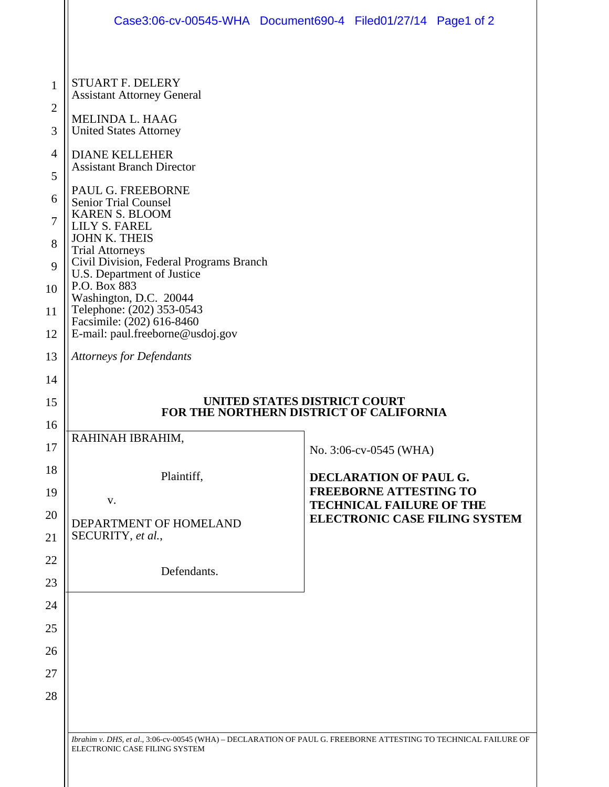|                   | Case3:06-cv-00545-WHA Document690-4 Filed01/27/14 Page1 of 2                                                                                                                                                                                                                                                                             |  |                                                                  |  |
|-------------------|------------------------------------------------------------------------------------------------------------------------------------------------------------------------------------------------------------------------------------------------------------------------------------------------------------------------------------------|--|------------------------------------------------------------------|--|
|                   |                                                                                                                                                                                                                                                                                                                                          |  |                                                                  |  |
| $\mathbf{1}$      | <b>STUART F. DELERY</b><br><b>Assistant Attorney General</b>                                                                                                                                                                                                                                                                             |  |                                                                  |  |
| $\mathbf{2}$<br>3 | MELINDA L. HAAG<br><b>United States Attorney</b>                                                                                                                                                                                                                                                                                         |  |                                                                  |  |
| 4                 | <b>DIANE KELLEHER</b><br><b>Assistant Branch Director</b>                                                                                                                                                                                                                                                                                |  |                                                                  |  |
| 5<br>6            | PAUL G. FREEBORNE                                                                                                                                                                                                                                                                                                                        |  |                                                                  |  |
| 7                 | <b>Senior Trial Counsel</b><br><b>KAREN S. BLOOM</b><br>LILY S. FAREL<br><b>JOHN K. THEIS</b><br><b>Trial Attorneys</b><br>Civil Division, Federal Programs Branch<br>U.S. Department of Justice<br>P.O. Box 883<br>Washington, D.C. 20044<br>Telephone: (202) 353-0543<br>Facsimile: (202) 616-8460<br>E-mail: paul.freeborne@usdoj.gov |  |                                                                  |  |
| 8                 |                                                                                                                                                                                                                                                                                                                                          |  |                                                                  |  |
| 9                 |                                                                                                                                                                                                                                                                                                                                          |  |                                                                  |  |
| 10<br>11          |                                                                                                                                                                                                                                                                                                                                          |  |                                                                  |  |
| 12                |                                                                                                                                                                                                                                                                                                                                          |  |                                                                  |  |
| 13                | <b>Attorneys for Defendants</b>                                                                                                                                                                                                                                                                                                          |  |                                                                  |  |
| 14                |                                                                                                                                                                                                                                                                                                                                          |  |                                                                  |  |
| 15<br>16          | UNITED STATES DISTRICT COURT<br>FOR THE NORTHERN DISTRICT OF CALIFORNIA                                                                                                                                                                                                                                                                  |  |                                                                  |  |
| 17                | RAHINAH IBRAHIM,                                                                                                                                                                                                                                                                                                                         |  | No. 3:06-cv-0545 (WHA)                                           |  |
| 18                | Plaintiff,                                                                                                                                                                                                                                                                                                                               |  | DECLARATION OF PAUL G.                                           |  |
| 19                | V.<br>DEPARTMENT OF HOMELAND<br>SECURITY, et al.,<br>Defendants.                                                                                                                                                                                                                                                                         |  | <b>FREEBORNE ATTESTING TO</b><br><b>TECHNICAL FAILURE OF THE</b> |  |
| 20<br>21          |                                                                                                                                                                                                                                                                                                                                          |  | <b>ELECTRONIC CASE FILING SYSTEM</b>                             |  |
| 22                |                                                                                                                                                                                                                                                                                                                                          |  |                                                                  |  |
| 23                |                                                                                                                                                                                                                                                                                                                                          |  |                                                                  |  |
| 24                |                                                                                                                                                                                                                                                                                                                                          |  |                                                                  |  |
| 25<br>26          |                                                                                                                                                                                                                                                                                                                                          |  |                                                                  |  |
| 27                |                                                                                                                                                                                                                                                                                                                                          |  |                                                                  |  |
| 28                |                                                                                                                                                                                                                                                                                                                                          |  |                                                                  |  |
|                   |                                                                                                                                                                                                                                                                                                                                          |  |                                                                  |  |
|                   | Ibrahim v. DHS, et al., 3:06-cv-00545 (WHA) - DECLARATION OF PAUL G. FREEBORNE ATTESTING TO TECHNICAL FAILURE OF<br>ELECTRONIC CASE FILING SYSTEM                                                                                                                                                                                        |  |                                                                  |  |